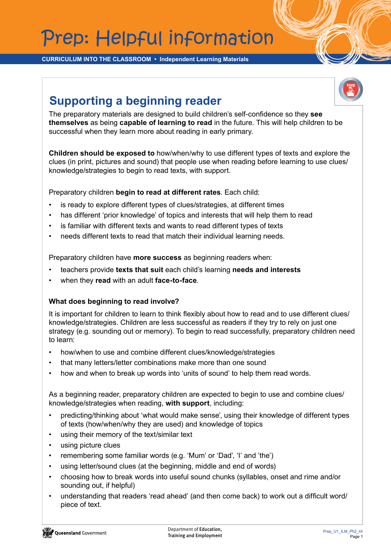## Prep: Helpful information

**CURRICULUM INTO THE CLASSROOM • Independent Learning Materials**

## **Supporting a beginning reader**



The preparatory materials are designed to build children's self-confidence so they **see themselves** as being **capable of learning to read** in the future. This will help children to be successful when they learn more about reading in early primary.

**Children should be exposed to** how/when/why to use different types of texts and explore the clues (in print, pictures and sound) that people use when reading before learning to use clues/ knowledge/strategies to begin to read texts, with support.

Preparatory children **begin to read at different rates**. Each child:

- is ready to explore different types of clues/strategies, at different times
- has different 'prior knowledge' of topics and interests that will help them to read
- is familiar with different texts and wants to read different types of texts
- needs different texts to read that match their individual learning needs.

Preparatory children have **more success** as beginning readers when:

- teachers provide **texts that suit** each child's learning **needs and interests**
- when they **read** with an adult **face-to-face**.

## **What does beginning to read involve?**

It is important for children to learn to think flexibly about how to read and to use different clues/ knowledge/strategies. Children are less successful as readers if they try to rely on just one strategy (e.g. sounding out or memory). To begin to read successfully, preparatory children need to learn:

- how/when to use and combine different clues/knowledge/strategies
- that many letters/letter combinations make more than one sound
- how and when to break up words into 'units of sound' to help them read words.

As a beginning reader, preparatory children are expected to begin to use and combine clues/ knowledge/strategies when reading, **with support**, including:

- predicting/thinking about 'what would make sense', using their knowledge of different types of texts (how/when/why they are used) and knowledge of topics
- using their memory of the text/similar text
- using picture clues
- remembering some familiar words (e.g. 'Mum' or 'Dad', 'I' and 'the')
- using letter/sound clues (at the beginning, middle and end of words)
- choosing how to break words into useful sound chunks (syllables, onset and rime and/or sounding out, if helpful)
- understanding that readers 'read ahead' (and then come back) to work out a difficult word/ piece of text.